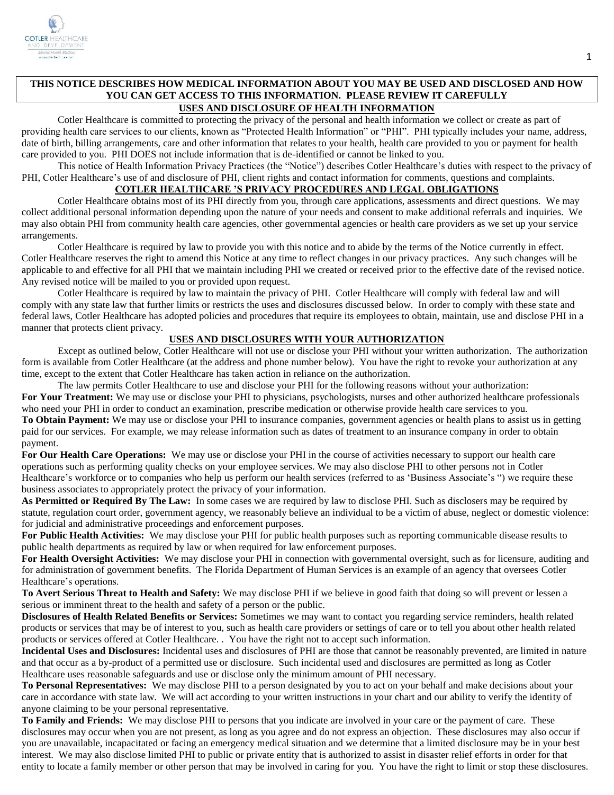

# **THIS NOTICE DESCRIBES HOW MEDICAL INFORMATION ABOUT YOU MAY BE USED AND DISCLOSED AND HOW YOU CAN GET ACCESS TO THIS INFORMATION. PLEASE REVIEW IT CAREFULLY**

# **USES AND DISCLOSURE OF HEALTH INFORMATION**

Cotler Healthcare is committed to protecting the privacy of the personal and health information we collect or create as part of providing health care services to our clients, known as "Protected Health Information" or "PHI". PHI typically includes your name, address, date of birth, billing arrangements, care and other information that relates to your health, health care provided to you or payment for health care provided to you. PHI DOES not include information that is de-identified or cannot be linked to you.

This notice of Health Information Privacy Practices (the "Notice") describes Cotler Healthcare's duties with respect to the privacy of PHI, Cotler Healthcare's use of and disclosure of PHI, client rights and contact information for comments, questions and complaints.

## **COTLER HEALTHCARE 'S PRIVACY PROCEDURES AND LEGAL OBLIGATIONS**

Cotler Healthcare obtains most of its PHI directly from you, through care applications, assessments and direct questions. We may collect additional personal information depending upon the nature of your needs and consent to make additional referrals and inquiries. We may also obtain PHI from community health care agencies, other governmental agencies or health care providers as we set up your service arrangements.

Cotler Healthcare is required by law to provide you with this notice and to abide by the terms of the Notice currently in effect. Cotler Healthcare reserves the right to amend this Notice at any time to reflect changes in our privacy practices. Any such changes will be applicable to and effective for all PHI that we maintain including PHI we created or received prior to the effective date of the revised notice. Any revised notice will be mailed to you or provided upon request.

Cotler Healthcare is required by law to maintain the privacy of PHI. Cotler Healthcare will comply with federal law and will comply with any state law that further limits or restricts the uses and disclosures discussed below. In order to comply with these state and federal laws, Cotler Healthcare has adopted policies and procedures that require its employees to obtain, maintain, use and disclose PHI in a manner that protects client privacy.

# **USES AND DISCLOSURES WITH YOUR AUTHORIZATION**

Except as outlined below, Cotler Healthcare will not use or disclose your PHI without your written authorization. The authorization form is available from Cotler Healthcare (at the address and phone number below). You have the right to revoke your authorization at any time, except to the extent that Cotler Healthcare has taken action in reliance on the authorization.

The law permits Cotler Healthcare to use and disclose your PHI for the following reasons without your authorization: For Your Treatment: We may use or disclose your PHI to physicians, psychologists, nurses and other authorized healthcare professionals who need your PHI in order to conduct an examination, prescribe medication or otherwise provide health care services to you.

**To Obtain Payment:** We may use or disclose your PHI to insurance companies, government agencies or health plans to assist us in getting paid for our services. For example, we may release information such as dates of treatment to an insurance company in order to obtain payment.

**For Our Health Care Operations:** We may use or disclose your PHI in the course of activities necessary to support our health care operations such as performing quality checks on your employee services. We may also disclose PHI to other persons not in Cotler Healthcare's workforce or to companies who help us perform our health services (referred to as 'Business Associate's ") we require these business associates to appropriately protect the privacy of your information.

**As Permitted or Required By The Law:** In some cases we are required by law to disclose PHI. Such as disclosers may be required by statute, regulation court order, government agency, we reasonably believe an individual to be a victim of abuse, neglect or domestic violence: for judicial and administrative proceedings and enforcement purposes.

**For Public Health Activities:** We may disclose your PHI for public health purposes such as reporting communicable disease results to public health departments as required by law or when required for law enforcement purposes.

**For Health Oversight Activities:** We may disclose your PHI in connection with governmental oversight, such as for licensure, auditing and for administration of government benefits. The Florida Department of Human Services is an example of an agency that oversees Cotler Healthcare's operations.

**To Avert Serious Threat to Health and Safety:** We may disclose PHI if we believe in good faith that doing so will prevent or lessen a serious or imminent threat to the health and safety of a person or the public.

**Disclosures of Health Related Benefits or Services:** Sometimes we may want to contact you regarding service reminders, health related products or services that may be of interest to you, such as health care providers or settings of care or to tell you about other health related products or services offered at Cotler Healthcare. . You have the right not to accept such information.

**Incidental Uses and Disclosures:** Incidental uses and disclosures of PHI are those that cannot be reasonably prevented, are limited in nature and that occur as a by-product of a permitted use or disclosure. Such incidental used and disclosures are permitted as long as Cotler Healthcare uses reasonable safeguards and use or disclose only the minimum amount of PHI necessary.

**To Personal Representatives:** We may disclose PHI to a person designated by you to act on your behalf and make decisions about your care in accordance with state law. We will act according to your written instructions in your chart and our ability to verify the identity of anyone claiming to be your personal representative.

**To Family and Friends:** We may disclose PHI to persons that you indicate are involved in your care or the payment of care. These disclosures may occur when you are not present, as long as you agree and do not express an objection. These disclosures may also occur if you are unavailable, incapacitated or facing an emergency medical situation and we determine that a limited disclosure may be in your best interest. We may also disclose limited PHI to public or private entity that is authorized to assist in disaster relief efforts in order for that entity to locate a family member or other person that may be involved in caring for you. You have the right to limit or stop these disclosures.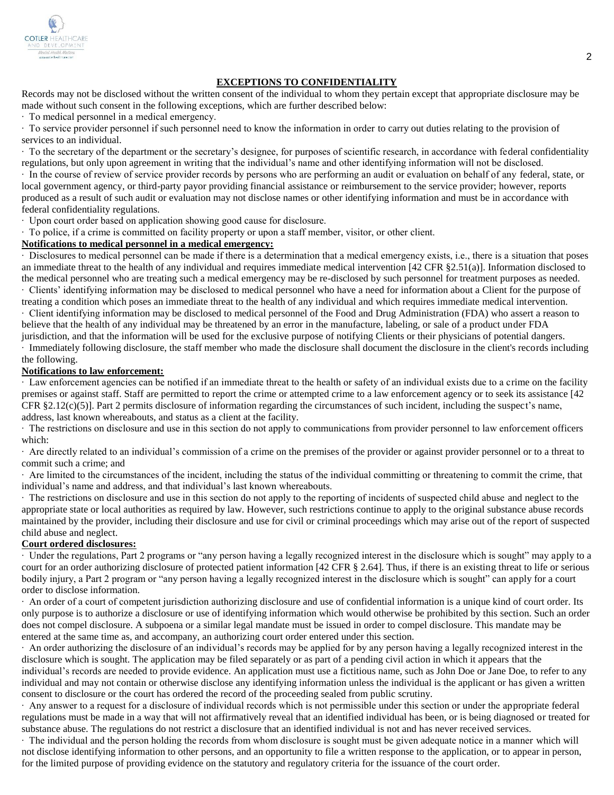

#### **EXCEPTIONS TO CONFIDENTIALITY**

Records may not be disclosed without the written consent of the individual to whom they pertain except that appropriate disclosure may be made without such consent in the following exceptions, which are further described below:

∙ To medical personnel in a medical emergency.

∙ To service provider personnel if such personnel need to know the information in order to carry out duties relating to the provision of services to an individual.

∙ To the secretary of the department or the secretary's designee, for purposes of scientific research, in accordance with federal confidentiality regulations, but only upon agreement in writing that the individual's name and other identifying information will not be disclosed.

∙ In the course of review of service provider records by persons who are performing an audit or evaluation on behalf of any federal, state, or local government agency, or third-party payor providing financial assistance or reimbursement to the service provider; however, reports produced as a result of such audit or evaluation may not disclose names or other identifying information and must be in accordance with federal confidentiality regulations.

∙ Upon court order based on application showing good cause for disclosure.

∙ To police, if a crime is committed on facility property or upon a staff member, visitor, or other client.

### **Notifications to medical personnel in a medical emergency:**

∙ Disclosures to medical personnel can be made if there is a determination that a medical emergency exists, i.e., there is a situation that poses an immediate threat to the health of any individual and requires immediate medical intervention [42 CFR §2.51(a)]. Information disclosed to the medical personnel who are treating such a medical emergency may be re-disclosed by such personnel for treatment purposes as needed.

∙ Clients' identifying information may be disclosed to medical personnel who have a need for information about a Client for the purpose of treating a condition which poses an immediate threat to the health of any individual and which requires immediate medical intervention.

∙ Client identifying information may be disclosed to medical personnel of the Food and Drug Administration (FDA) who assert a reason to believe that the health of any individual may be threatened by an error in the manufacture, labeling, or sale of a product under FDA

jurisdiction, and that the information will be used for the exclusive purpose of notifying Clients or their physicians of potential dangers. ∙ Immediately following disclosure, the staff member who made the disclosure shall document the disclosure in the client's records including the following.

#### **Notifications to law enforcement:**

∙ Law enforcement agencies can be notified if an immediate threat to the health or safety of an individual exists due to a crime on the facility premises or against staff. Staff are permitted to report the crime or attempted crime to a law enforcement agency or to seek its assistance [42 CFR §2.12(c)(5)]. Part 2 permits disclosure of information regarding the circumstances of such incident, including the suspect's name, address, last known whereabouts, and status as a client at the facility.

∙ The restrictions on disclosure and use in this section do not apply to communications from provider personnel to law enforcement officers which:

∙ Are directly related to an individual's commission of a crime on the premises of the provider or against provider personnel or to a threat to commit such a crime; and

∙ Are limited to the circumstances of the incident, including the status of the individual committing or threatening to commit the crime, that individual's name and address, and that individual's last known whereabouts.

∙ The restrictions on disclosure and use in this section do not apply to the reporting of incidents of suspected child abuse and neglect to the appropriate state or local authorities as required by law. However, such restrictions continue to apply to the original substance abuse records maintained by the provider, including their disclosure and use for civil or criminal proceedings which may arise out of the report of suspected child abuse and neglect.

#### **Court ordered disclosures:**

∙ Under the regulations, Part 2 programs or "any person having a legally recognized interest in the disclosure which is sought" may apply to a court for an order authorizing disclosure of protected patient information [42 CFR § 2.64]. Thus, if there is an existing threat to life or serious bodily injury, a Part 2 program or "any person having a legally recognized interest in the disclosure which is sought" can apply for a court order to disclose information.

∙ An order of a court of competent jurisdiction authorizing disclosure and use of confidential information is a unique kind of court order. Its only purpose is to authorize a disclosure or use of identifying information which would otherwise be prohibited by this section. Such an order does not compel disclosure. A subpoena or a similar legal mandate must be issued in order to compel disclosure. This mandate may be entered at the same time as, and accompany, an authorizing court order entered under this section.

∙ An order authorizing the disclosure of an individual's records may be applied for by any person having a legally recognized interest in the disclosure which is sought. The application may be filed separately or as part of a pending civil action in which it appears that the individual's records are needed to provide evidence. An application must use a fictitious name, such as John Doe or Jane Doe, to refer to any

individual and may not contain or otherwise disclose any identifying information unless the individual is the applicant or has given a written consent to disclosure or the court has ordered the record of the proceeding sealed from public scrutiny.

∙ Any answer to a request for a disclosure of individual records which is not permissible under this section or under the appropriate federal regulations must be made in a way that will not affirmatively reveal that an identified individual has been, or is being diagnosed or treated for substance abuse. The regulations do not restrict a disclosure that an identified individual is not and has never received services.

∙ The individual and the person holding the records from whom disclosure is sought must be given adequate notice in a manner which will not disclose identifying information to other persons, and an opportunity to file a written response to the application, or to appear in person, for the limited purpose of providing evidence on the statutory and regulatory criteria for the issuance of the court order.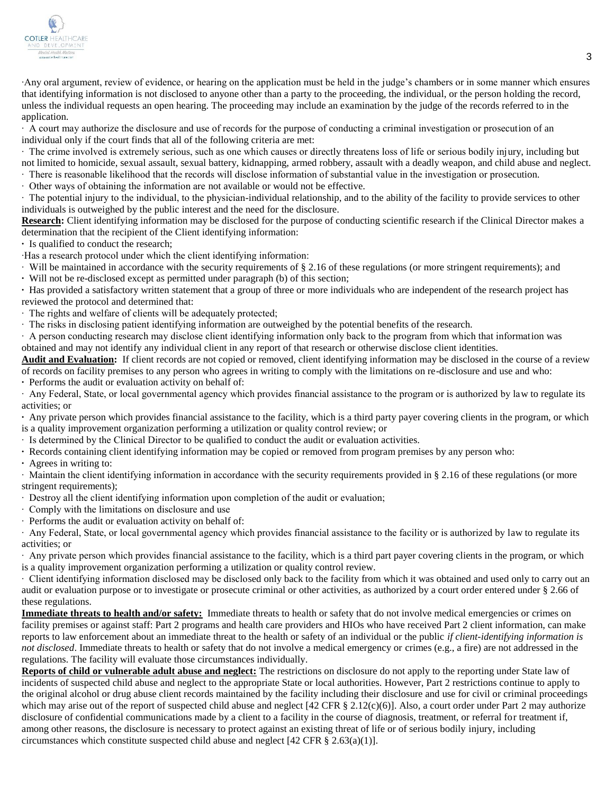

∙Any oral argument, review of evidence, or hearing on the application must be held in the judge's chambers or in some manner which ensures that identifying information is not disclosed to anyone other than a party to the proceeding, the individual, or the person holding the record, unless the individual requests an open hearing. The proceeding may include an examination by the judge of the records referred to in the application.

∙ A court may authorize the disclosure and use of records for the purpose of conducting a criminal investigation or prosecution of an individual only if the court finds that all of the following criteria are met:

∙ The crime involved is extremely serious, such as one which causes or directly threatens loss of life or serious bodily injury, including but not limited to homicide, sexual assault, sexual battery, kidnapping, armed robbery, assault with a deadly weapon, and child abuse and neglect. ∙ There is reasonable likelihood that the records will disclose information of substantial value in the investigation or prosecution.

∙ Other ways of obtaining the information are not available or would not be effective.

∙ The potential injury to the individual, to the physician-individual relationship, and to the ability of the facility to provide services to other individuals is outweighed by the public interest and the need for the disclosure.

**Research:** Client identifying information may be disclosed for the purpose of conducting scientific research if the Clinical Director makes a determination that the recipient of the Client identifying information:

**∙** Is qualified to conduct the research;

∙Has a research protocol under which the client identifying information:

∙ Will be maintained in accordance with the security requirements of § 2.16 of these regulations (or more stringent requirements); and

**∙** Will not be re-disclosed except as permitted under paragraph (b) of this section;

**∙** Has provided a satisfactory written statement that a group of three or more individuals who are independent of the research project has reviewed the protocol and determined that:

∙ The rights and welfare of clients will be adequately protected;

∙ The risks in disclosing patient identifying information are outweighed by the potential benefits of the research.

∙ A person conducting research may disclose client identifying information only back to the program from which that information was obtained and may not identify any individual client in any report of that research or otherwise disclose client identities.

Audit and Evaluation: If client records are not copied or removed, client identifying information may be disclosed in the course of a review of records on facility premises to any person who agrees in writing to comply with the limitations on re-disclosure and use and who:

**∙** Performs the audit or evaluation activity on behalf of:

∙ Any Federal, State, or local governmental agency which provides financial assistance to the program or is authorized by law to regulate its activities; or

**∙** Any private person which provides financial assistance to the facility, which is a third party payer covering clients in the program, or which is a quality improvement organization performing a utilization or quality control review; or

∙ Is determined by the Clinical Director to be qualified to conduct the audit or evaluation activities.

- **∙** Records containing client identifying information may be copied or removed from program premises by any person who:
- **∙** Agrees in writing to:

∙ Maintain the client identifying information in accordance with the security requirements provided in § 2.16 of these regulations (or more stringent requirements);

- ∙ Destroy all the client identifying information upon completion of the audit or evaluation;
- ∙ Comply with the limitations on disclosure and use
- ∙ Performs the audit or evaluation activity on behalf of:

∙ Any Federal, State, or local governmental agency which provides financial assistance to the facility or is authorized by law to regulate its activities; or

∙ Any private person which provides financial assistance to the facility, which is a third part payer covering clients in the program, or which is a quality improvement organization performing a utilization or quality control review.

∙ Client identifying information disclosed may be disclosed only back to the facility from which it was obtained and used only to carry out an audit or evaluation purpose or to investigate or prosecute criminal or other activities, as authorized by a court order entered under § 2.66 of these regulations.

**Immediate threats to health and/or safety:** Immediate threats to health or safety that do not involve medical emergencies or crimes on facility premises or against staff: Part 2 programs and health care providers and HIOs who have received Part 2 client information, can make reports to law enforcement about an immediate threat to the health or safety of an individual or the public *if client-identifying information is not disclosed*. Immediate threats to health or safety that do not involve a medical emergency or crimes (e.g., a fire) are not addressed in the regulations. The facility will evaluate those circumstances individually.

**Reports of child or vulnerable adult abuse and neglect:** The restrictions on disclosure do not apply to the reporting under State law of incidents of suspected child abuse and neglect to the appropriate State or local authorities. However, Part 2 restrictions continue to apply to the original alcohol or drug abuse client records maintained by the facility including their disclosure and use for civil or criminal proceedings which may arise out of the report of suspected child abuse and neglect [42 CFR  $\S 2.12(c)(6)$ ]. Also, a court order under Part 2 may authorize disclosure of confidential communications made by a client to a facility in the course of diagnosis, treatment, or referral for treatment if, among other reasons, the disclosure is necessary to protect against an existing threat of life or of serious bodily injury, including circumstances which constitute suspected child abuse and neglect  $[42 \text{ CFR } \frac{8}{3} \cdot 2.63(a)(1)]$ .